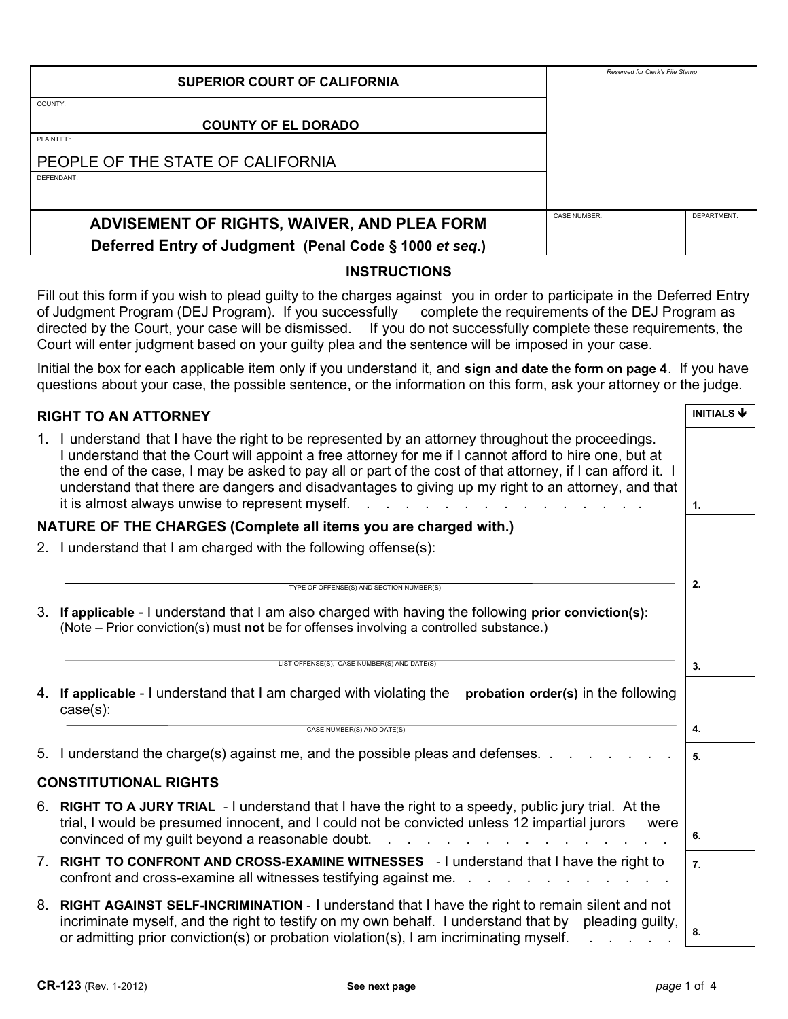| <b>SUPERIOR COURT OF CALIFORNIA</b>                    | Reserved for Clerk's File Stamp |             |
|--------------------------------------------------------|---------------------------------|-------------|
| COUNTY:                                                |                                 |             |
| <b>COUNTY OF EL DORADO</b>                             |                                 |             |
| PLAINTIFF:                                             |                                 |             |
| PEOPLE OF THE STATE OF CALIFORNIA                      |                                 |             |
| DEFENDANT:                                             |                                 |             |
|                                                        |                                 |             |
| ADVISEMENT OF RIGHTS, WAIVER, AND PLEA FORM            | <b>CASE NUMBER:</b>             | DEPARTMENT: |
| Deferred Entry of Judgment (Penal Code § 1000 et seq.) |                                 |             |

## **INSTRUCTIONS**

Fill out this form if you wish to plead guilty to the charges against you in order to participate in the Deferred Entry of Judgment Program (DEJ Program). If you successfully complete the requirements of the DEJ Program as directed by the Court, your case will be dismissed. If you do not successfully complete these requirements, the Court will enter judgment based on your guilty plea and the sentence will be imposed in your case.

Initial the box for each applicable item only if you understand it, and **sign and date the form on page 4**. If you have questions about your case, the possible sentence, or the information on this form, ask your attorney or the judge.

|                                                                  | <b>RIGHT TO AN ATTORNEY</b>                                                                                                                                                                                                                                                                                                                                                                                                                                                         | <b>INITIALS <math>\blacklozenge</math></b> |  |  |
|------------------------------------------------------------------|-------------------------------------------------------------------------------------------------------------------------------------------------------------------------------------------------------------------------------------------------------------------------------------------------------------------------------------------------------------------------------------------------------------------------------------------------------------------------------------|--------------------------------------------|--|--|
|                                                                  | 1. I understand that I have the right to be represented by an attorney throughout the proceedings.<br>I understand that the Court will appoint a free attorney for me if I cannot afford to hire one, but at<br>the end of the case, I may be asked to pay all or part of the cost of that attorney, if I can afford it. I<br>understand that there are dangers and disadvantages to giving up my right to an attorney, and that<br>it is almost always unwise to represent myself. | 1.                                         |  |  |
| NATURE OF THE CHARGES (Complete all items you are charged with.) |                                                                                                                                                                                                                                                                                                                                                                                                                                                                                     |                                            |  |  |
|                                                                  | 2. I understand that I am charged with the following offense(s):                                                                                                                                                                                                                                                                                                                                                                                                                    |                                            |  |  |
|                                                                  | TYPE OF OFFENSE(S) AND SECTION NUMBER(S)                                                                                                                                                                                                                                                                                                                                                                                                                                            | 2.                                         |  |  |
|                                                                  | 3. If applicable - I understand that I am also charged with having the following prior conviction(s):<br>(Note – Prior conviction(s) must not be for offenses involving a controlled substance.)                                                                                                                                                                                                                                                                                    |                                            |  |  |
|                                                                  | LIST OFFENSE(S), CASE NUMBER(S) AND DATE(S)                                                                                                                                                                                                                                                                                                                                                                                                                                         | 3.                                         |  |  |
|                                                                  | 4. If applicable - I understand that I am charged with violating the<br>probation order(s) in the following<br>$case(s)$ :                                                                                                                                                                                                                                                                                                                                                          |                                            |  |  |
|                                                                  | CASE NUMBER(S) AND DATE(S)                                                                                                                                                                                                                                                                                                                                                                                                                                                          | 4.                                         |  |  |
|                                                                  | 5. I understand the charge(s) against me, and the possible pleas and defenses                                                                                                                                                                                                                                                                                                                                                                                                       | 5.                                         |  |  |
|                                                                  | <b>CONSTITUTIONAL RIGHTS</b>                                                                                                                                                                                                                                                                                                                                                                                                                                                        |                                            |  |  |
|                                                                  | 6. RIGHT TO A JURY TRIAL - I understand that I have the right to a speedy, public jury trial. At the<br>trial, I would be presumed innocent, and I could not be convicted unless 12 impartial jurors<br>were<br>convinced of my guilt beyond a reasonable doubt.                                                                                                                                                                                                                    | 6.                                         |  |  |
| $7_{\scriptscriptstyle{\ddots}}$                                 | RIGHT TO CONFRONT AND CROSS-EXAMINE WITNESSES - I understand that I have the right to<br>confront and cross-examine all witnesses testifying against me.                                                                                                                                                                                                                                                                                                                            | 7.                                         |  |  |
| 8.                                                               | RIGHT AGAINST SELF-INCRIMINATION - I understand that I have the right to remain silent and not<br>incriminate myself, and the right to testify on my own behalf. I understand that by<br>pleading guilty,<br>or admitting prior conviction(s) or probation violation(s), I am incriminating myself.                                                                                                                                                                                 | 8.                                         |  |  |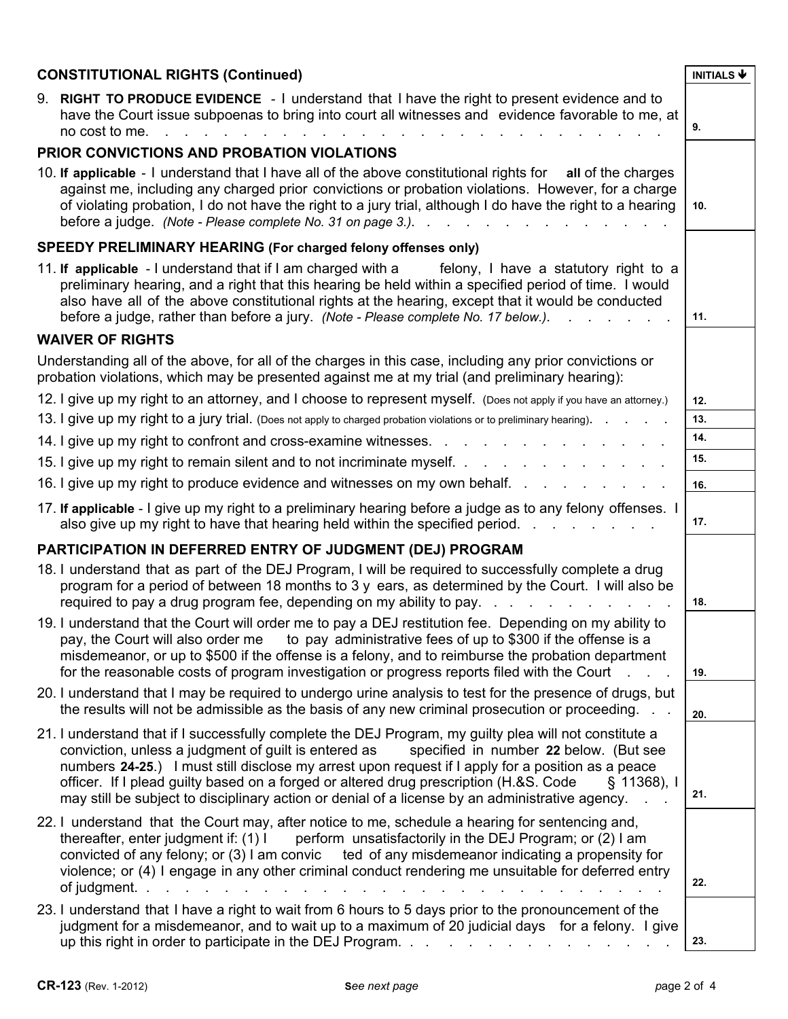| <b>CONSTITUTIONAL RIGHTS (Continued)</b>                                                                                                                                                                                                                                                                                                                                                                                                                                                                                   | <b>INITIALS <math>\blacklozenge</math></b> |
|----------------------------------------------------------------------------------------------------------------------------------------------------------------------------------------------------------------------------------------------------------------------------------------------------------------------------------------------------------------------------------------------------------------------------------------------------------------------------------------------------------------------------|--------------------------------------------|
| 9. RIGHT TO PRODUCE EVIDENCE - I understand that I have the right to present evidence and to<br>have the Court issue subpoenas to bring into court all witnesses and evidence favorable to me, at<br>no cost to me.                                                                                                                                                                                                                                                                                                        | 9.                                         |
| <b>PRIOR CONVICTIONS AND PROBATION VIOLATIONS</b>                                                                                                                                                                                                                                                                                                                                                                                                                                                                          |                                            |
| 10. If applicable - I understand that I have all of the above constitutional rights for<br>all of the charges<br>against me, including any charged prior convictions or probation violations. However, for a charge<br>of violating probation, I do not have the right to a jury trial, although I do have the right to a hearing                                                                                                                                                                                          | 10.                                        |
| SPEEDY PRELIMINARY HEARING (For charged felony offenses only)                                                                                                                                                                                                                                                                                                                                                                                                                                                              |                                            |
| 11. If applicable - I understand that if I am charged with a<br>felony, I have a statutory right to a<br>preliminary hearing, and a right that this hearing be held within a specified period of time. I would<br>also have all of the above constitutional rights at the hearing, except that it would be conducted<br>before a judge, rather than before a jury. (Note - Please complete No. 17 below.).                                                                                                                 | 11.                                        |
| <b>WAIVER OF RIGHTS</b>                                                                                                                                                                                                                                                                                                                                                                                                                                                                                                    |                                            |
| Understanding all of the above, for all of the charges in this case, including any prior convictions or<br>probation violations, which may be presented against me at my trial (and preliminary hearing):                                                                                                                                                                                                                                                                                                                  |                                            |
| 12. I give up my right to an attorney, and I choose to represent myself. (Does not apply if you have an attorney.)                                                                                                                                                                                                                                                                                                                                                                                                         | 12.                                        |
| 13. I give up my right to a jury trial. (Does not apply to charged probation violations or to preliminary hearing).                                                                                                                                                                                                                                                                                                                                                                                                        | 13.                                        |
| 14. I give up my right to confront and cross-examine witnesses                                                                                                                                                                                                                                                                                                                                                                                                                                                             | 14.                                        |
| 15. I give up my right to remain silent and to not incriminate myself.                                                                                                                                                                                                                                                                                                                                                                                                                                                     | 15.                                        |
| 16. I give up my right to produce evidence and witnesses on my own behalf.                                                                                                                                                                                                                                                                                                                                                                                                                                                 | 16.                                        |
| 17. If applicable - I give up my right to a preliminary hearing before a judge as to any felony offenses. I<br>also give up my right to have that hearing held within the specified period.                                                                                                                                                                                                                                                                                                                                | 17.                                        |
| PARTICIPATION IN DEFERRED ENTRY OF JUDGMENT (DEJ) PROGRAM                                                                                                                                                                                                                                                                                                                                                                                                                                                                  |                                            |
| 18. I understand that as part of the DEJ Program, I will be required to successfully complete a drug<br>program for a period of between 18 months to 3 y ears, as determined by the Court. I will also be<br>required to pay a drug program fee, depending on my ability to pay.                                                                                                                                                                                                                                           | 18.                                        |
| 19. I understand that the Court will order me to pay a DEJ restitution fee. Depending on my ability to<br>pay, the Court will also order me to pay administrative fees of up to \$300 if the offense is a<br>misdemeanor, or up to \$500 if the offense is a felony, and to reimburse the probation department<br>for the reasonable costs of program investigation or progress reports filed with the Court                                                                                                               | 19.                                        |
| 20. I understand that I may be required to undergo urine analysis to test for the presence of drugs, but<br>the results will not be admissible as the basis of any new criminal prosecution or proceeding.                                                                                                                                                                                                                                                                                                                 | 20.                                        |
| 21. I understand that if I successfully complete the DEJ Program, my guilty plea will not constitute a<br>conviction, unless a judgment of quilt is entered as<br>specified in number 22 below. (But see<br>numbers 24-25.) I must still disclose my arrest upon request if I apply for a position as a peace<br>officer. If I plead guilty based on a forged or altered drug prescription (H.&S. Code<br>$§$ 11368), I<br>may still be subject to disciplinary action or denial of a license by an administrative agency. | 21.                                        |
| 22. I understand that the Court may, after notice to me, schedule a hearing for sentencing and,<br>thereafter, enter judgment if: (1) I<br>perform unsatisfactorily in the DEJ Program; or (2) I am<br>convicted of any felony; or (3) I am convic ted of any misdemeanor indicating a propensity for<br>violence; or (4) I engage in any other criminal conduct rendering me unsuitable for deferred entry<br>of judgment.                                                                                                | 22.                                        |
| 23. I understand that I have a right to wait from 6 hours to 5 days prior to the pronouncement of the<br>judgment for a misdemeanor, and to wait up to a maximum of 20 judicial days for a felony. I give<br>up this right in order to participate in the DEJ Program.                                                                                                                                                                                                                                                     | 23.                                        |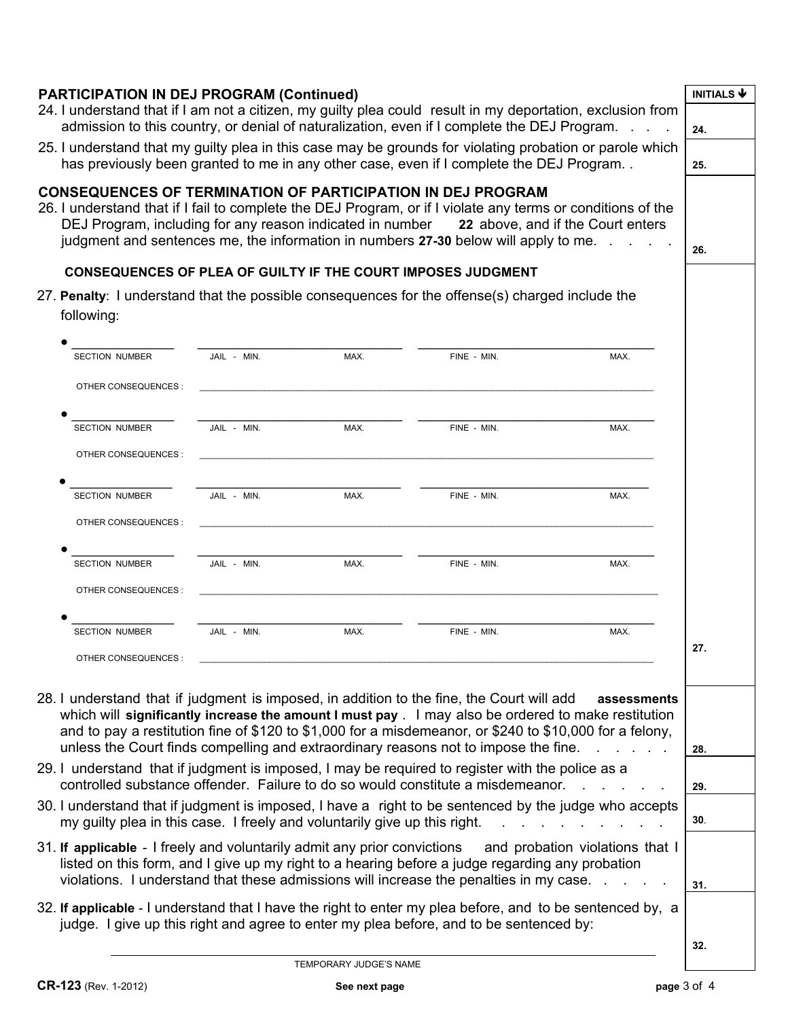| <b>PARTICIPATION IN DEJ PROGRAM (Continued)</b><br>24. I understand that if I am not a citizen, my guilty plea could result in my deportation, exclusion from<br>admission to this country, or denial of naturalization, even if I complete the DEJ Program.                                                                                                                                       |             |      |             | <b>INITIALS <math>\blacklozenge</math></b> |            |
|----------------------------------------------------------------------------------------------------------------------------------------------------------------------------------------------------------------------------------------------------------------------------------------------------------------------------------------------------------------------------------------------------|-------------|------|-------------|--------------------------------------------|------------|
| 25. I understand that my guilty plea in this case may be grounds for violating probation or parole which<br>has previously been granted to me in any other case, even if I complete the DEJ Program                                                                                                                                                                                                |             |      |             |                                            | 24.<br>25. |
| <b>CONSEQUENCES OF TERMINATION OF PARTICIPATION IN DEJ PROGRAM</b><br>26. I understand that if I fail to complete the DEJ Program, or if I violate any terms or conditions of the<br>DEJ Program, including for any reason indicated in number 22 above, and if the Court enters<br>judgment and sentences me, the information in numbers 27-30 below will apply to me.                            |             |      |             |                                            | 26.        |
| <b>CONSEQUENCES OF PLEA OF GUILTY IF THE COURT IMPOSES JUDGMENT</b>                                                                                                                                                                                                                                                                                                                                |             |      |             |                                            |            |
| 27. Penalty: I understand that the possible consequences for the offense(s) charged include the<br>following:                                                                                                                                                                                                                                                                                      |             |      |             |                                            |            |
| <b>SECTION NUMBER</b>                                                                                                                                                                                                                                                                                                                                                                              | JAIL - MIN. | MAX. | FINE - MIN. | MAX.                                       |            |
| OTHER CONSEQUENCES :                                                                                                                                                                                                                                                                                                                                                                               |             |      |             |                                            |            |
| <b>SECTION NUMBER</b>                                                                                                                                                                                                                                                                                                                                                                              | JAIL - MIN. | MAX. | FINE - MIN. | MAX.                                       |            |
| OTHER CONSEQUENCES :                                                                                                                                                                                                                                                                                                                                                                               |             |      |             |                                            |            |
| <b>SECTION NUMBER</b>                                                                                                                                                                                                                                                                                                                                                                              | JAIL - MIN. | MAX. | FINE - MIN. | MAX.                                       |            |
| OTHER CONSEQUENCES :                                                                                                                                                                                                                                                                                                                                                                               |             |      |             |                                            |            |
| <b>SECTION NUMBER</b>                                                                                                                                                                                                                                                                                                                                                                              | JAIL - MIN. | MAX. | FINE - MIN. | MAX.                                       |            |
| OTHER CONSEQUENCES :                                                                                                                                                                                                                                                                                                                                                                               |             |      |             |                                            |            |
| <b>SECTION NUMBER</b>                                                                                                                                                                                                                                                                                                                                                                              | JAIL - MIN. | MAX. | FINE - MIN. | MAX.                                       | 27.        |
| OTHER CONSEQUENCES                                                                                                                                                                                                                                                                                                                                                                                 |             |      |             |                                            |            |
| 28. I understand that if judgment is imposed, in addition to the fine, the Court will add<br>which will significantly increase the amount I must pay . I may also be ordered to make restitution<br>and to pay a restitution fine of \$120 to \$1,000 for a misdemeanor, or \$240 to \$10,000 for a felony,<br>unless the Court finds compelling and extraordinary reasons not to impose the fine. |             |      |             | assessments                                | 28.        |
| 29. I understand that if judgment is imposed, I may be required to register with the police as a<br>controlled substance offender. Failure to do so would constitute a misdemeanor.                                                                                                                                                                                                                |             |      |             |                                            | 29.        |
| 30. I understand that if judgment is imposed, I have a right to be sentenced by the judge who accepts<br>my guilty plea in this case. I freely and voluntarily give up this right.<br>and the state of the state                                                                                                                                                                                   |             |      |             | 30.                                        |            |
| 31. If applicable - I freely and voluntarily admit any prior convictions<br>and probation violations that I<br>listed on this form, and I give up my right to a hearing before a judge regarding any probation<br>violations. I understand that these admissions will increase the penalties in my case. .                                                                                         |             |      |             |                                            | 31.        |
| 32. If applicable - I understand that I have the right to enter my plea before, and to be sentenced by, a<br>judge. I give up this right and agree to enter my plea before, and to be sentenced by:                                                                                                                                                                                                |             |      |             |                                            |            |
|                                                                                                                                                                                                                                                                                                                                                                                                    |             |      |             |                                            | 32.        |